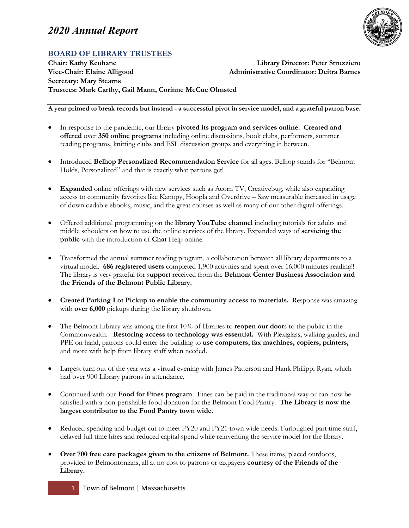

# **BOARD OF LIBRARY TRUSTEES**

**Chair: Kathy Keohane Library Director: Peter Struzziero Vice-Chair: Elaine Alligood Administrative Coordinator: Deitra Barnes Secretary: Mary Stearns Trustees: Mark Carthy, Gail Mann, Corinne McCue Olmsted** 

**A year primed to break records but instead - a successful pivot in service model, and a grateful patron base.**

- In response to the pandemic, our library **pivoted its program and services online. Created and offered** over **350 online programs** including online discussions, book clubs, performers, summer reading programs, knitting clubs and ESL discussion groups and everything in between.
- Introduced **Belhop Personalized Recommendation Service** for all ages. Belhop stands for "Belmont Holds, Personalized" and that is exactly what patrons get!
- **Expanded** online offerings with new services such as Acorn TV, Creativebug, while also expanding access to community favorites like Kanopy, Hoopla and Overdrive – Saw measurable increased in usage of downloadable ebooks, music, and the great courses as well as many of our other digital offerings.
- Offered additional programming on the **library YouTube channel** including tutorials for adults and middle schoolers on how to use the online services of the library. Expanded ways of **servicing the public** with the introduction of **Chat** Help online.
- Transformed the annual summer reading program, a collaboration between all library departments to a virtual model. **686 registered users** completed 1,900 activities and spent over 16,000 minutes reading!! The library is very grateful for s**upport** received from the **Belmont Center Business Association and the Friends of the Belmont Public Library.**
- **Created Parking Lot Pickup to enable the community access to materials.** Response was amazing with **over 6,000** pickups during the library shutdown.
- The Belmont Library was among the first 10% of libraries to **reopen our door**s to the public in the Commonwealth. **Restoring access to technology was essential.** With Plexiglass, walking guides, and PPE on hand, patrons could enter the building to **use computers, fax machines, copiers, printers,** and more with help from library staff when needed.
- Largest turn out of the year was a virtual evening with James Patterson and Hank Philippi Ryan, which had over 900 Library patrons in attendance.
- Continued with our **Food for Fines program**. Fines can be paid in the traditional way or can now be satisfied with a non-perishable food donation for the Belmont Food Pantry. **The Library is now the largest contributor to the Food Pantry town wide.**
- Reduced spending and budget cut to meet FY20 and FY21 town wide needs. Furloughed part time staff, delayed full time hires and reduced capital spend while reinventing the service model for the library.
- **Over 700 free care packages given to the citizens of Belmont.** These items, placed outdoors, provided to Belmontonians, all at no cost to patrons or taxpayers **courtesy of the Friends of the Library.**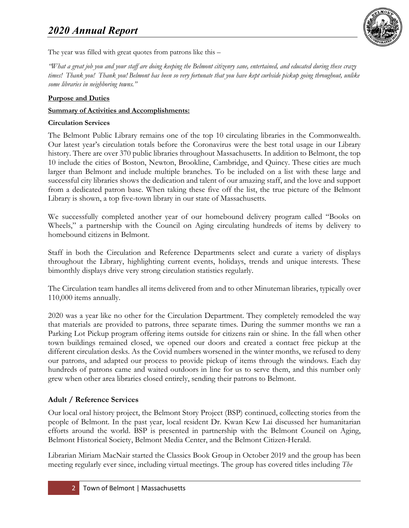

The year was filled with great quotes from patrons like this –

*"What a great job you and your staff are doing keeping the Belmont citizenry sane, entertained, and educated during these crazy times! Thank you! Thank you! Belmont has been so very fortunate that you have kept curbside pickup going throughout, unlike some libraries in neighboring towns."*

#### **Purpose and Duties**

#### **Summary of Activities and Accomplishments:**

#### **Circulation Services**

The Belmont Public Library remains one of the top 10 circulating libraries in the Commonwealth. Our latest year's circulation totals before the Coronavirus were the best total usage in our Library history. There are over 370 public libraries throughout Massachusetts. In addition to Belmont, the top 10 include the cities of Boston, Newton, Brookline, Cambridge, and Quincy. These cities are much larger than Belmont and include multiple branches. To be included on a list with these large and successful city libraries shows the dedication and talent of our amazing staff, and the love and support from a dedicated patron base. When taking these five off the list, the true picture of the Belmont Library is shown, a top five-town library in our state of Massachusetts.

We successfully completed another year of our homebound delivery program called "Books on Wheels," a partnership with the Council on Aging circulating hundreds of items by delivery to homebound citizens in Belmont.

Staff in both the Circulation and Reference Departments select and curate a variety of displays throughout the Library, highlighting current events, holidays, trends and unique interests. These bimonthly displays drive very strong circulation statistics regularly.

The Circulation team handles all items delivered from and to other Minuteman libraries, typically over 110,000 items annually.

2020 was a year like no other for the Circulation Department. They completely remodeled the way that materials are provided to patrons, three separate times. During the summer months we ran a Parking Lot Pickup program offering items outside for citizens rain or shine. In the fall when other town buildings remained closed, we opened our doors and created a contact free pickup at the different circulation desks. As the Covid numbers worsened in the winter months, we refused to deny our patrons, and adapted our process to provide pickup of items through the windows. Each day hundreds of patrons came and waited outdoors in line for us to serve them, and this number only grew when other area libraries closed entirely, sending their patrons to Belmont.

### **Adult / Reference Services**

Our local oral history project, the Belmont Story Project (BSP) continued, collecting stories from the people of Belmont. In the past year, local resident Dr. Kwan Kew Lai discussed her humanitarian efforts around the world. BSP is presented in partnership with the Belmont Council on Aging, Belmont Historical Society, Belmont Media Center, and the Belmont Citizen-Herald.

Librarian Miriam MacNair started the Classics Book Group in October 2019 and the group has been meeting regularly ever since, including virtual meetings. The group has covered titles including *The*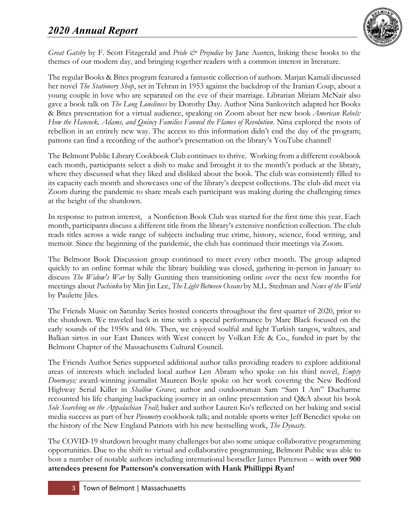

*Great Gatsby* by F. Scott Fitzgerald and *Pride & Prejudice* by Jane Austen, linking these books to the themes of our modern day, and bringing together readers with a common interest in literature.

The regular Books & Bites program featured a fantastic collection of authors. Marjan Kamali discussed her novel *The Stationery Shop*, set in Tehran in 1953 against the backdrop of the Iranian Coup, about a young couple in love who are separated on the eve of their marriage. Librarian Miriam McNair also gave a book talk on *The Long Loneliness* by Dorothy Day. Author Nina Sankovitch adapted her Books & Bites presentation for a virtual audience, speaking on Zoom about her new book *American Rebels: How the Hancock, Adams, and Quincy Families Fanned the Flames of Revolution*. Nina explored the roots of rebellion in an entirely new way. The access to this information didn't end the day of the program; patrons can find a recording of the author's presentation on the library's YouTube channel!

The Belmont Public Library Cookbook Club continues to thrive. Working from a different cookbook each month, participants select a dish to make and brought it to the month's potluck at the library, where they discussed what they liked and disliked about the book. The club was consistently filled to its capacity each month and showcases one of the library's deepest collections. The club did meet via Zoom during the pandemic to share meals each participant was making during the challenging times at the height of the shutdown.

In response to patron interest, a Nonfiction Book Club was started for the first time this year. Each month, participants discuss a different title from the library's extensive nonfiction collection. The club reads titles across a wide range of subjects including true crime, history, science, food writing, and memoir. Since the beginning of the pandemic, the club has continued their meetings via Zoom.

The Belmont Book Discussion group continued to meet every other month. The group adapted quickly to an online format while the library building was closed, gathering in-person in January to discuss *The Widow's War* by Sally Gunning then transitioning online over the next few months for meetings about *Pachinko* by Min Jin Lee, *The Light Between Oceans* by M.L. Stedman and *News of the World* by Paulette Jiles.

The Friends Music on Saturday Series hosted concerts throughout the first quarter of 2020, prior to the shutdown. We traveled back in time with a special performance by Marc Black focused on the early sounds of the 1950s and 60s. Then, we enjoyed soulful and light Turkish tangos, waltzes, and Balkan sirtos in our East Dances with West concert by Volkan Efe & Co., funded in part by the Belmont Chapter of the Massachusetts Cultural Council.

The Friends Author Series supported additional author talks providing readers to explore additional areas of interests which included local author Len Abram who spoke on his third novel, *Empty Doorways;* award-winning journalist Maureen Boyle spoke on her work covering the New Bedford Highway Serial Killer in *Shallow Graves*; author and outdoorsman Sam "Sam I Am" Ducharme recounted his life changing backpacking journey in an online presentation and Q&A about his book *Sole Searching on the Appalachian Trail*; baker and author Lauren Ko's reflected on her baking and social media success as part of her *Pieometry* cookbook talk; and notable sports writer Jeff Benedict spoke on the history of the New England Patriots with his new bestselling work, *The Dynasty*.

The COVID-19 shutdown brought many challenges but also some unique collaborative programming opportunities. Due to the shift to virtual and collaborative programming, Belmont Public was able to host a number of notable authors including international bestseller James Patterson – **with over 900 attendees present for Patterson's conversation with Hank Phillippi Ryan!**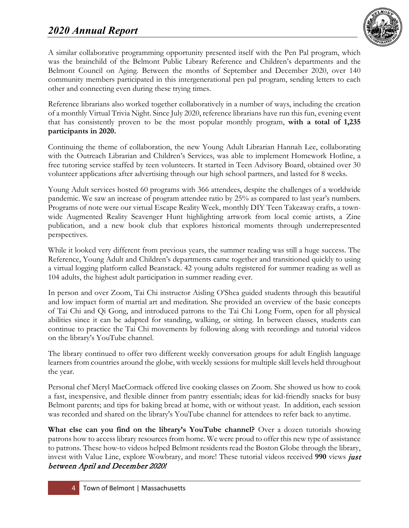

A similar collaborative programming opportunity presented itself with the Pen Pal program, which was the brainchild of the Belmont Public Library Reference and Children's departments and the Belmont Council on Aging. Between the months of September and December 2020, over 140 community members participated in this intergenerational pen pal program, sending letters to each other and connecting even during these trying times.

Reference librarians also worked together collaboratively in a number of ways, including the creation of a monthly Virtual Trivia Night. Since July 2020, reference librarians have run this fun, evening event that has consistently proven to be the most popular monthly program, **with a total of 1,235 participants in 2020.**

Continuing the theme of collaboration, the new Young Adult Librarian Hannah Lee, collaborating with the Outreach Librarian and Children's Services, was able to implement Homework Hotline, a free tutoring service staffed by teen volunteers. It started in Teen Advisory Board, obtained over 30 volunteer applications after advertising through our high school partners, and lasted for 8 weeks.

Young Adult services hosted 60 programs with 366 attendees, despite the challenges of a worldwide pandemic. We saw an increase of program attendee ratio by 25% as compared to last year's numbers. Programs of note were our virtual Escape Reality Week, monthly DIY Teen Takeaway crafts, a townwide Augmented Reality Scavenger Hunt highlighting artwork from local comic artists, a Zine publication, and a new book club that explores historical moments through underrepresented perspectives.

While it looked very different from previous years, the summer reading was still a huge success. The Reference, Young Adult and Children's departments came together and transitioned quickly to using a virtual logging platform called Beanstack. 42 young adults registered for summer reading as well as 104 adults, the highest adult participation in summer reading ever.

In person and over Zoom, Tai Chi instructor Aisling O'Shea guided students through this beautiful and low impact form of martial art and meditation. She provided an overview of the basic concepts of Tai Chi and Qi Gong, and introduced patrons to the Tai Chi Long Form, open for all physical abilities since it can be adapted for standing, walking, or sitting. In between classes, students can continue to practice the Tai Chi movements by following along with recordings and tutorial videos on the library's YouTube channel.

The library continued to offer two different weekly conversation groups for adult English language learners from countries around the globe, with weekly sessions for multiple skill levels held throughout the year.

Personal chef Meryl MacCormack offered live cooking classes on Zoom. She showed us how to cook a fast, inexpensive, and flexible dinner from pantry essentials; ideas for kid-friendly snacks for busy Belmont parents; and tips for baking bread at home, with or without yeast. In addition, each session was recorded and shared on the library's YouTube channel for attendees to refer back to anytime.

**What else can you find on the library's YouTube channel?** Over a dozen tutorials showing patrons how to access library resources from home. We were proud to offer this new type of assistance to patrons. These how-to videos helped Belmont residents read the Boston Globe through the library, invest with Value Line, explore Wowbrary, and more! These tutorial videos received **990** views just between April and December 2020!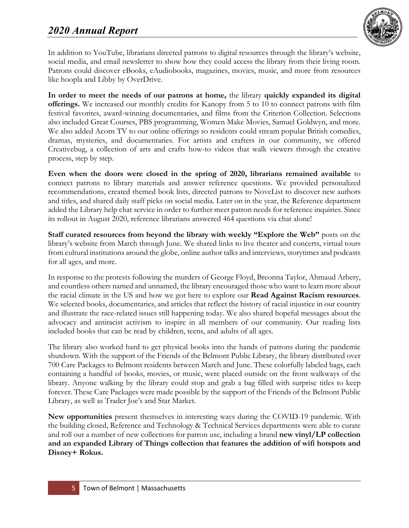

In addition to YouTube, librarians directed patrons to digital resources through the library's website, social media, and email newsletter to show how they could access the library from their living room. Patrons could discover eBooks, eAudiobooks, magazines, movies, music, and more from resources like hoopla and Libby by OverDrive.

**In order to meet the needs of our patrons at home,** the library **quickly expanded its digital offerings.** We increased our monthly credits for Kanopy from 5 to 10 to connect patrons with film festival favorites, award-winning documentaries, and films from the Criterion Collection. Selections also included Great Courses, PBS programming, Women Make Movies, Samuel Goldwyn, and more. We also added Acorn TV to our online offerings so residents could stream popular British comedies, dramas, mysteries, and documentaries. For artists and crafters in our community, we offered Creativebug, a collection of arts and crafts how-to videos that walk viewers through the creative process, step by step.

**Even when the doors were closed in the spring of 2020, librarians remained available** to connect patrons to library materials and answer reference questions. We provided personalized recommendations, created themed book lists, directed patrons to NoveList to discover new authors and titles, and shared daily staff picks on social media. Later on in the year, the Reference department added the Library help chat service in order to further meet patron needs for reference inquiries. Since its rollout in August 2020, reference librarians answered 464 questions via chat alone!

**Staff curated resources from beyond the library with weekly "Explore the Web"** posts on the library's website from March through June. We shared links to live theater and concerts, virtual tours from cultural institutions around the globe, online author talks and interviews, storytimes and podcasts for all ages, and more.

In response to the protests following the murders of George Floyd, Breonna Taylor, Ahmaud Arbery, and countless others named and unnamed, the library encouraged those who want to learn more about the racial climate in the US and how we got here to explore our **Read Against Racism resources**. We selected books, documentaries, and articles that reflect the history of racial injustice in our country and illustrate the race-related issues still happening today. We also shared hopeful messages about the advocacy and antiracist activism to inspire in all members of our community. Our reading lists included books that can be read by children, teens, and adults of all ages.

The library also worked hard to get physical books into the hands of patrons during the pandemic shutdown. With the support of the Friends of the Belmont Public Library, the library distributed over 700 Care Packages to Belmont residents between March and June. These colorfully labeled bags, each containing a handful of books, movies, or music, were placed outside on the front walkways of the library. Anyone walking by the library could stop and grab a bag filled with surprise titles to keep forever. These Care Packages were made possible by the support of the Friends of the Belmont Public Library, as well as Trader Joe's and Star Market.

**New opportunities** present themselves in interesting ways during the COVID-19 pandemic. With the building closed, Reference and Technology & Technical Services departments were able to curate and roll out a number of new collections for patron use, including a brand **new vinyl/LP collection and an expanded Library of Things collection that features the addition of wifi hotspots and Disney+ Rokus.**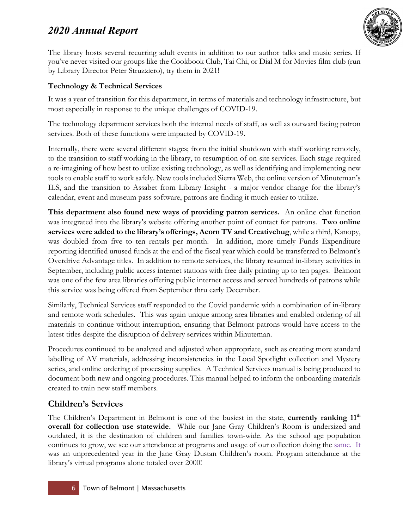

The library hosts several recurring adult events in addition to our author talks and music series. If you've never visited our groups like the Cookbook Club, Tai Chi, or Dial M for Movies film club (run by Library Director Peter Struzziero), try them in 2021!

## **Technology & Technical Services**

It was a year of transition for this department, in terms of materials and technology infrastructure, but most especially in response to the unique challenges of COVID-19.

The technology department services both the internal needs of staff, as well as outward facing patron services. Both of these functions were impacted by COVID-19.

Internally, there were several different stages; from the initial shutdown with staff working remotely, to the transition to staff working in the library, to resumption of on-site services. Each stage required a re-imagining of how best to utilize existing technology, as well as identifying and implementing new tools to enable staff to work safely. New tools included Sierra Web, the online version of Minuteman's ILS, and the transition to Assabet from Library Insight - a major vendor change for the library's calendar, event and museum pass software, patrons are finding it much easier to utilize.

**This department also found new ways of providing patron services.** An online chat function was integrated into the library's website offering another point of contact for patrons. **Two online services were added to the library's offerings, Acorn TV and Creativebug**, while a third, Kanopy, was doubled from five to ten rentals per month. In addition, more timely Funds Expenditure reporting identified unused funds at the end of the fiscal year which could be transferred to Belmont's Overdrive Advantage titles. In addition to remote services, the library resumed in-library activities in September, including public access internet stations with free daily printing up to ten pages. Belmont was one of the few area libraries offering public internet access and served hundreds of patrons while this service was being offered from September thru early December.

Similarly, Technical Services staff responded to the Covid pandemic with a combination of in-library and remote work schedules. This was again unique among area libraries and enabled ordering of all materials to continue without interruption, ensuring that Belmont patrons would have access to the latest titles despite the disruption of delivery services within Minuteman.

Procedures continued to be analyzed and adjusted when appropriate, such as creating more standard labelling of AV materials, addressing inconsistencies in the Local Spotlight collection and Mystery series, and online ordering of processing supplies. A Technical Services manual is being produced to document both new and ongoing procedures. This manual helped to inform the onboarding materials created to train new staff members.

# **Children's Services**

The Children's Department in Belmont is one of the busiest in the state, **currently ranking 11<sup>th</sup> overall for collection use statewide.** While our Jane Gray Children's Room is undersized and outdated, it is the destination of children and families town-wide. As the school age population continues to grow, we see our attendance at programs and usage of our collection doing the same. It was an unprecedented year in the Jane Gray Dustan Children's room. Program attendance at the library's virtual programs alone totaled over 2000!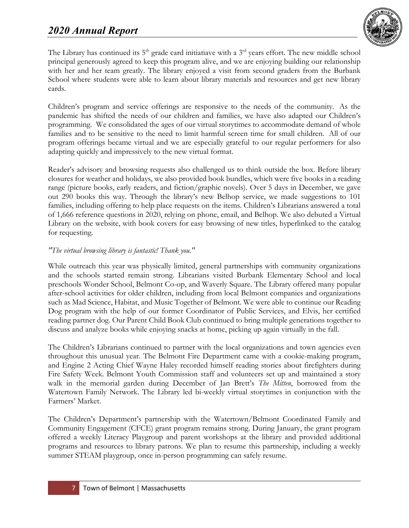

The Library has continued its  $5<sup>th</sup>$  grade card initiatiave with a  $3<sup>rd</sup>$  years effort. The new middle school principal generously agreed to keep this program alive, and we are enjoying building our relationship with her and her team greatly. The library enjoyed a visit from second graders from the Burbank School where students were able to learn about library materials and resources and get new library cards.

Children's program and service offerings are responsive to the needs of the community. As the pandemic has shifted the needs of our children and families, we have also adapted our Children's programming. We consolidated the ages of our virtual storytimes to accommodate demand of whole families and to be sensitive to the need to limit harmful screen time for small children. All of our program offerings became virtual and we are especially grateful to our regular performers for also adapting quickly and impressively to the new virtual format.

Reader's advisory and browsing requests also challenged us to think outside the box. Before library closures for weather and holidays, we also provided book bundles, which were five books in a reading range (picture books, early readers, and fiction/graphic novels). Over 5 days in December, we gave out 290 books this way. Through the library's new Belhop service, we made suggestions to 101 families, including offering to help place requests on the items. Children's Librarians answered a total of 1,666 reference questions in 2020, relying on phone, email, and Belhop. We also debuted a Virtual Library on the website, with book covers for easy browsing of new titles, hyperlinked to the catalog for requesting.

### *"The virtual browsing library is fantastic! Thank you."*

While outreach this year was physically limited, general partnerships with community organizations and the schools started remain strong. Librarians visited Burbank Elementary School and local preschools Wonder School, Belmont Co-op, and Waverly Square. The Library offered many popular after-school activities for older children, including from local Belmont companies and organizations such as Mad Science, Habitat, and Music Together of Belmont. We were able to continue our Reading Dog program with the help of our former Coordinator of Public Services, and Elvis, her certified reading partner dog. Our Parent Child Book Club continued to bring multiple generations together to discuss and analyze books while enjoying snacks at home, picking up again virtually in the fall.

The Children's Librarians continued to partner with the local organizations and town agencies even throughout this unusual year. The Belmont Fire Department came with a cookie-making program, and Engine 2 Acting Chief Wayne Haley recorded himself reading stories about firefighters during Fire Safety Week. Belmont Youth Commission staff and volunteers set up and maintained a story walk in the memorial garden during December of Jan Brett's *The Mitten*, borrowed from the Watertown Family Network. The Library led bi-weekly virtual storytimes in conjunction with the Farmers' Market.

The Children's Department's partnership with the Watertown/Belmont Coordinated Family and Community Engagement (CFCE) grant program remains strong. During January, the grant program offered a weekly Literacy Playgroup and parent workshops at the library and provided additional programs and resources to library patrons. We plan to resume this partnership, including a weekly summer STEAM playgroup, once in-person programming can safely resume.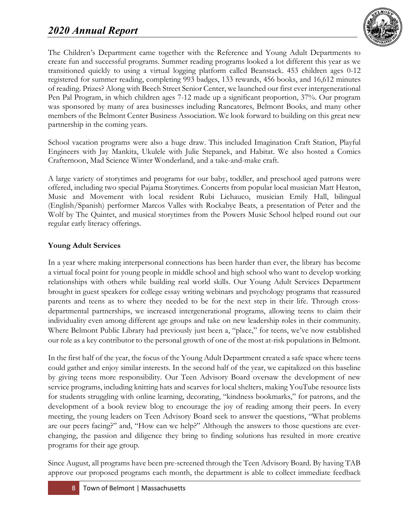

The Children's Department came together with the Reference and Young Adult Departments to create fun and successful programs. Summer reading programs looked a lot different this year as we transitioned quickly to using a virtual logging platform called Beanstack. 453 children ages 0-12 registered for summer reading, completing 993 badges, 133 rewards, 456 books, and 16,612 minutes of reading. Prizes? Along with Beech Street Senior Center, we launched our first ever intergenerational Pen Pal Program, in which children ages 7-12 made up a significant proportion, 37%. Our program was sponsored by many of area businesses including Rancatores, Belmont Books, and many other members of the Belmont Center Business Association. We look forward to building on this great new partnership in the coming years.

School vacation programs were also a huge draw. This included Imagination Craft Station, Playful Engineers with Jay Mankita, Ukulele with Julie Stepanek, and Habitat. We also hosted a Comics Crafternoon, Mad Science Winter Wonderland, and a take-and-make craft.

A large variety of storytimes and programs for our baby, toddler, and preschool aged patrons were offered, including two special Pajama Storytimes. Concerts from popular local musician Matt Heaton, Music and Movement with local resident Rubi Lichauco, musician Emily Hall, bilingual (English/Spanish) performer Marcos Valles with Rockabye Beats, a presentation of Peter and the Wolf by The Quintet, and musical storytimes from the Powers Music School helped round out our regular early literacy offerings.

### **Young Adult Services**

In a year where making interpersonal connections has been harder than ever, the library has become a virtual focal point for young people in middle school and high school who want to develop working relationships with others while building real world skills. Our Young Adult Services Department brought in guest speakers for college essay writing webinars and psychology programs that reassured parents and teens as to where they needed to be for the next step in their life. Through crossdepartmental partnerships, we increased intergenerational programs, allowing teens to claim their individuality even among different age groups and take on new leadership roles in their community. Where Belmont Public Library had previously just been a, "place," for teens, we've now established our role as a key contributor to the personal growth of one of the most at-risk populations in Belmont.

In the first half of the year, the focus of the Young Adult Department created a safe space where teens could gather and enjoy similar interests. In the second half of the year, we capitalized on this baseline by giving teens more responsibility. Our Teen Advisory Board oversaw the development of new service programs, including knitting hats and scarves for local shelters, making YouTube resource lists for students struggling with online learning, decorating, "kindness bookmarks," for patrons, and the development of a book review blog to encourage the joy of reading among their peers. In every meeting, the young leaders on Teen Advisory Board seek to answer the questions, "What problems are our peers facing?" and, "How can we help?" Although the answers to those questions are everchanging, the passion and diligence they bring to finding solutions has resulted in more creative programs for their age group.

Since August, all programs have been pre-screened through the Teen Advisory Board. By having TAB approve our proposed programs each month, the department is able to collect immediate feedback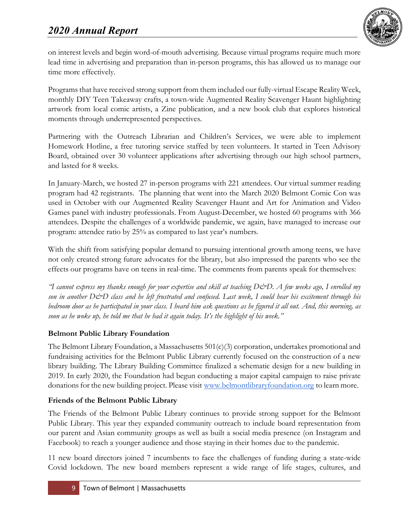

on interest levels and begin word-of-mouth advertising. Because virtual programs require much more lead time in advertising and preparation than in-person programs, this has allowed us to manage our time more effectively.

Programs that have received strong support from them included our fully-virtual Escape Reality Week, monthly DIY Teen Takeaway crafts, a town-wide Augmented Reality Scavenger Haunt highlighting artwork from local comic artists, a Zine publication, and a new book club that explores historical moments through underrepresented perspectives.

Partnering with the Outreach Librarian and Children's Services, we were able to implement Homework Hotline, a free tutoring service staffed by teen volunteers. It started in Teen Advisory Board, obtained over 30 volunteer applications after advertising through our high school partners, and lasted for 8 weeks.

In January-March, we hosted 27 in-person programs with 221 attendees. Our virtual summer reading program had 42 registrants. The planning that went into the March 2020 Belmont Comic Con was used in October with our Augmented Reality Scavenger Haunt and Art for Animation and Video Games panel with industry professionals. From August-December, we hosted 60 programs with 366 attendees. Despite the challenges of a worldwide pandemic, we again, have managed to increase our program: attendee ratio by 25% as compared to last year's numbers.

With the shift from satisfying popular demand to pursuing intentional growth among teens, we have not only created strong future advocates for the library, but also impressed the parents who see the effects our programs have on teens in real-time. The comments from parents speak for themselves:

*"I cannot express my thanks enough for your expertise and skill at teaching D&D. A few weeks ago, I enrolled my son in another D&D class and he left frustrated and confused. Last week, I could hear his excitement through his bedroom door as he participated in your class. I heard him ask questions as he figured it all out. And, this morning, as soon as he woke up, he told me that he had it again today. It's the highlight of his week."*

## **Belmont Public Library Foundation**

The Belmont Library Foundation, a Massachusetts  $501(c)(3)$  corporation, undertakes promotional and fundraising activities for the Belmont Public Library currently focused on the construction of a new library building. The Library Building Committee finalized a schematic design for a new building in 2019. In early 2020, the Foundation had begun conducting a major capital campaign to raise private donations for the new building project. Please visit [www.belmontlibraryfoundation.org](http://www.belmontlibraryfoundation.org/) to learn more.

## **Friends of the Belmont Public Library**

The Friends of the Belmont Public Library continues to provide strong support for the Belmont Public Library. This year they expanded community outreach to include board representation from our parent and Asian community groups as well as built a social media presence (on Instagram and Facebook) to reach a younger audience and those staying in their homes due to the pandemic.

11 new board directors joined 7 incumbents to face the challenges of funding during a state-wide Covid lockdown. The new board members represent a wide range of life stages, cultures, and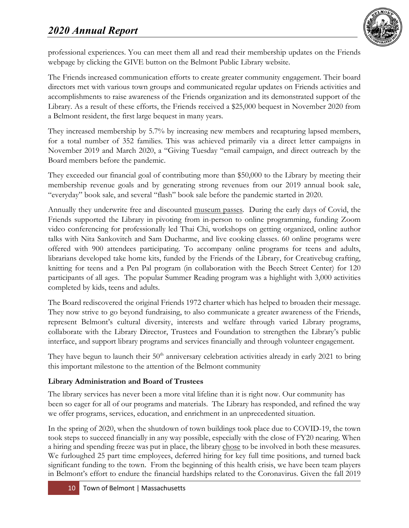

professional experiences. You can meet them all and read their membership updates on the Friends webpage by clicking the GIVE button on the Belmont Public Library website.

The Friends increased communication efforts to create greater community engagement. Their board directors met with various town groups and communicated regular updates on Friends activities and accomplishments to raise awareness of the Friends organization and its demonstrated support of the Library. As a result of these efforts, the Friends received a \$25,000 bequest in November 2020 from a Belmont resident, the first large bequest in many years.

They increased membership by 5.7% by increasing new members and recapturing lapsed members, for a total number of 352 families. This was achieved primarily via a direct letter campaigns in November 2019 and March 2020, a "Giving Tuesday "email campaign, and direct outreach by the Board members before the pandemic.

They exceeded our financial goal of contributing more than \$50,000 to the Library by meeting their membership revenue goals and by generating strong revenues from our 2019 annual book sale, "everyday" book sale, and several "flash" book sale before the pandemic started in 2020.

Annually they underwrite free and discounted museum passes. During the early days of Covid, the Friends supported the Library in pivoting from in-person to online programming, funding Zoom video conferencing for professionally led Thai Chi, workshops on getting organized, online author talks with Nita Sankovitch and Sam Ducharme, and live cooking classes. 60 online programs were offered with 900 attendees participating. To accompany online programs for teens and adults, librarians developed take home kits, funded by the Friends of the Library, for Creativebug crafting, knitting for teens and a Pen Pal program (in collaboration with the Beech Street Center) for 120 participants of all ages. The popular Summer Reading program was a highlight with 3,000 activities completed by kids, teens and adults.

The Board rediscovered the original Friends 1972 charter which has helped to broaden their message. They now strive to go beyond fundraising, to also communicate a greater awareness of the Friends, represent Belmont's cultural diversity, interests and welfare through varied Library programs, collaborate with the Library Director, Trustees and Foundation to strengthen the Library's public interface, and support library programs and services financially and through volunteer engagement.

They have begun to launch their  $50<sup>th</sup>$  anniversary celebration activities already in early 2021 to bring this important milestone to the attention of the Belmont community

## **Library Administration and Board of Trustees**

The library services has never been a more vital lifeline than it is right now. Our community has been so eager for all of our programs and materials. The Library has responded, and refined the way we offer programs, services, education, and enrichment in an unprecedented situation.

In the spring of 2020, when the shutdown of town buildings took place due to COVID-19, the town took steps to succeed financially in any way possible, especially with the close of FY20 nearing. When a hiring and spending freeze was put in place, the library chose to be involved in both these measures. We furloughed 25 part time employees, deferred hiring for key full time positions, and turned back significant funding to the town. From the beginning of this health crisis, we have been team players in Belmont's effort to endure the financial hardships related to the Coronavirus. Given the fall 2019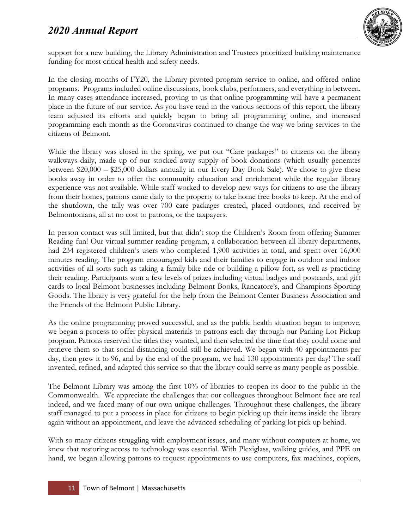

support for a new building, the Library Administration and Trustees prioritized building maintenance funding for most critical health and safety needs.

In the closing months of FY20, the Library pivoted program service to online, and offered online programs. Programs included online discussions, book clubs, performers, and everything in between. In many cases attendance increased, proving to us that online programming will have a permanent place in the future of our service. As you have read in the various sections of this report, the library team adjusted its efforts and quickly began to bring all programming online, and increased programming each month as the Coronavirus continued to change the way we bring services to the citizens of Belmont.

While the library was closed in the spring, we put out "Care packages" to citizens on the library walkways daily, made up of our stocked away supply of book donations (which usually generates between \$20,000 – \$25,000 dollars annually in our Every Day Book Sale). We chose to give these books away in order to offer the community education and enrichment while the regular library experience was not available. While staff worked to develop new ways for citizens to use the library from their homes, patrons came daily to the property to take home free books to keep. At the end of the shutdown, the tally was over 700 care packages created, placed outdoors, and received by Belmontonians, all at no cost to patrons, or the taxpayers.

In person contact was still limited, but that didn't stop the Children's Room from offering Summer Reading fun! Our virtual summer reading program, a collaboration between all library departments, had 234 registered children's users who completed 1,900 activities in total, and spent over 16,000 minutes reading. The program encouraged kids and their families to engage in outdoor and indoor activities of all sorts such as taking a family bike ride or building a pillow fort, as well as practicing their reading. Participants won a few levels of prizes including virtual badges and postcards, and gift cards to local Belmont businesses including Belmont Books, Rancatore's, and Champions Sporting Goods. The library is very grateful for the help from the Belmont Center Business Association and the Friends of the Belmont Public Library.

As the online programming proved successful, and as the public health situation began to improve, we began a process to offer physical materials to patrons each day through our Parking Lot Pickup program. Patrons reserved the titles they wanted, and then selected the time that they could come and retrieve them so that social distancing could still be achieved. We began with 40 appointments per day, then grew it to 96, and by the end of the program, we had 130 appointments per day! The staff invented, refined, and adapted this service so that the library could serve as many people as possible.

The Belmont Library was among the first 10% of libraries to reopen its door to the public in the Commonwealth. We appreciate the challenges that our colleagues throughout Belmont face are real indeed, and we faced many of our own unique challenges. Throughout these challenges, the library staff managed to put a process in place for citizens to begin picking up their items inside the library again without an appointment, and leave the advanced scheduling of parking lot pick up behind.

With so many citizens struggling with employment issues, and many without computers at home, we knew that restoring access to technology was essential. With Plexiglass, walking guides, and PPE on hand, we began allowing patrons to request appointments to use computers, fax machines, copiers,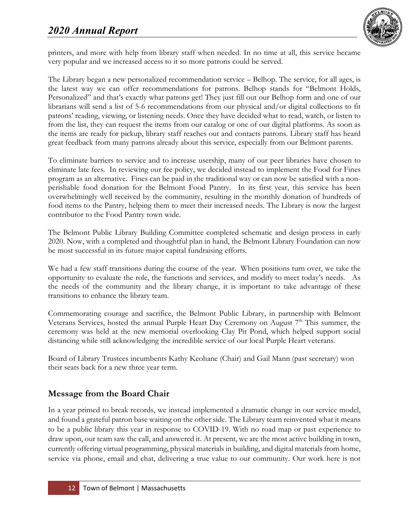

printers, and more with help from library staff when needed. In no time at all, this service became very popular and we increased access to it so more patrons could be served.

The Library began a new personalized recommendation service – Belhop. The service, for all ages, is the latest way we can offer recommendations for patrons. Belhop stands for "Belmont Holds, Personalized" and that's exactly what patrons get! They just fill out our Belhop form and one of our librarians will send a list of 5-6 recommendations from our physical and/or digital collections to fit patrons' reading, viewing, or listening needs. Once they have decided what to read, watch, or listen to from the list, they can request the items from our catalog or one of our digital platforms. As soon as the items are ready for pickup, library staff reaches out and contacts patrons. Library staff has heard great feedback from many patrons already about this service, especially from our Belmont parents.

To eliminate barriers to service and to increase usership, many of our peer libraries have chosen to eliminate late fees. In reviewing our fee policy, we decided instead to implement the Food for Fines program as an alternative. Fines can be paid in the traditional way or can now be satisfied with a nonperishable food donation for the Belmont Food Pantry. In its first year, this service has been overwhelmingly well received by the community, resulting in the monthly donation of hundreds of food items to the Pantry, helping them to meet their increased needs. The Library is now the largest contributor to the Food Pantry town wide.

The Belmont Public Library Building Committee completed schematic and design process in early 2020. Now, with a completed and thoughtful plan in hand, the Belmont Library Foundation can now be most successful in its future major capital fundraising efforts.

We had a few staff transitions during the course of the year. When positions turn over, we take the opportunity to evaluate the role, the functions and services, and modify to meet today's needs. As the needs of the community and the library change, it is important to take advantage of these transitions to enhance the library team.

Commemorating courage and sacrifice, the Belmont Public Library, in partnership with Belmont Veterans Services, hosted the annual Purple Heart Day Ceremony on August 7<sup>th.</sup> This summer, the ceremony was held at the new memorial overlooking Clay Pit Pond, which helped support social distancing while still acknowledging the incredible service of our local Purple Heart veterans.

Board of Library Trustees incumbents Kathy Keohane (Chair) and Gail Mann (past secretary) won their seats back for a new three year term.

# **Message from the Board Chair**

In a year primed to break records, we instead implemented a dramatic change in our service model, and found a grateful patron base waiting on the other side. The Library team reinvented what it means to be a public library this year in response to COVID-19. With no road map or past experience to draw upon, our team saw the call, and answered it. At present, we are the most active building in town, currently offering virtual programming, physical materials in building, and digital materials from home, service via phone, email and chat, delivering a true value to our community. Our work here is not